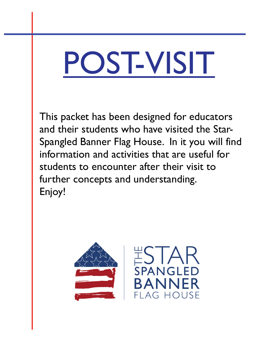# POST-VISIT

This packet has been designed for educators and their students who have visited the Star-Spangled Banner Flag House. In it you will find information and activities that are useful for students to encounter after their visit to further concepts and understanding. Enjoy!

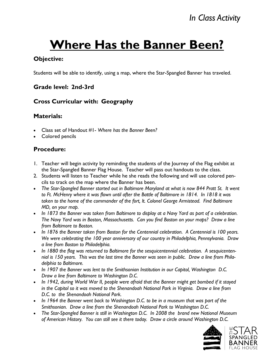# **Where Has the Banner Been?**

### **Objective:**

Students will be able to identify, using a map, where the Star-Spangled Banner has traveled.

### **Grade level: 2nd-3rd**

### **Cross Curricular with: Geography**

### **Materials:**

- Class set of Handout #1- *Where has the Banner Been?*
- Colored pencils

### **Procedure:**

- 1. Teacher will begin activity by reminding the students of the Journey of the Flag exhibit at the Star-Spangled Banner Flag House. Teacher will pass out handouts to the class.
- 2. Students will listen to Teacher while he she reads the following and will use colored pencils to track on the map where the Banner has been.
- The Star-Spangled Banner started out in Baltimore Maryland at what is now 844 Pratt St. It went *to Ft. McHenry where it was flown until after the Battle of Baltimore in 1814. In 1818 it was taken to the home of the commander of the fort, lt. Colonel George Armistead. Find Baltimore MD, on your map.*
- *In 1873 the Banner was taken from Baltimore to display at a Navy Yard as part of a celebration. The Navy Yard was in Boston, Massachusetts. Can you find Boston on your maps? Draw a line from Baltimore to Boston.*
- *In 1876 the Banner taken from Boston for the Centennial celebration. A Centennial is 100 years. We were celebrating the 100 year anniversary of our country in Philadelphia, Pennsylvania. Draw a line from Boston to Philadelphia.*
- *In 1880 the flag was returned to Baltimore for the sesquicentennial celebration. A sesquicentennial is 150 years. This was the last time the Banner was seen in public. Draw a line from Philadelphia to Baltimore.*
- *In 1907 the Banner was lent to the Smithsonian Institution in our Capitol, Washington D.C. Draw a line from Baltimore to Washington D.C.*
- *In 1942, during World War II, people were afraid that the Banner might get bombed if it stayed in the Capitol so it was moved to the Shenandoah National Park in Virginia. Draw a line from D.C. to the Shenandoah National Park.*
- *In 1964 the Banner went back to Washington D.C. to be in a museum that was part of the Smithsonian. Draw a line from the Shenandoah National Park to Washington D.C.*
- *The Star-Spangled Banner is still in Washington D.C. In 2008 the brand new National Museum of American History. You can still see it there today. Draw a circle around Washington D.C.*

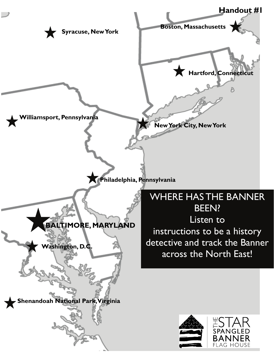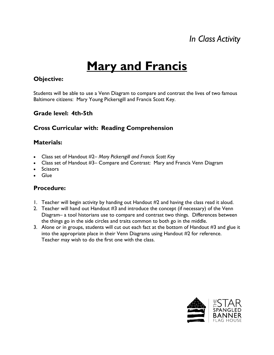### *In Class Activity*

# **Mary and Francis**

#### **Objective:**

Students will be able to use a Venn Diagram to compare and contrast the lives of two famous Baltimore citizens: Mary Young Pickersgill and Francis Scott Key.

### **Grade level: 4th-5th**

### **Cross Curricular with: Reading Comprehension**

### **Materials:**

- Class set of Handout #2– *Mary Pickersgill and Francis Scott Key*
- Class set of Handout #3– Compare and Contrast: Mary and Francis Venn Diagram
- Scissors
- Glue

#### **Procedure:**

- 1. Teacher will begin activity by handing out Handout #2 and having the class read it aloud.
- 2. Teacher will hand out Handout #3 and introduce the concept (if necessary) of the Venn Diagram– a tool historians use to compare and contrast two things. Differences between the things go in the side circles and traits common to both go in the middle.
- 3. Alone or in groups, students will cut out each fact at the bottom of Handout #3 and glue it into the appropriate place in their Venn Diagrams using Handout #2 for reference. Teacher may wish to do the first one with the class.

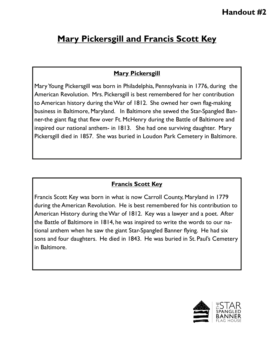### **Mary Pickersgill and Francis Scott Key**

### **Mary Pickersgill**

Mary Young Pickersgill was born in Philadelphia, Pennsylvania in 1776, during the American Revolution. Mrs. Pickersgill is best remembered for her contribution to American history during the War of 1812. She owned her own flag-making business in Baltimore, Maryland. In Baltimore she sewed the Star-Spangled Banner-the giant flag that flew over Ft. McHenry during the Battle of Baltimore and inspired our national anthem- in 1813. She had one surviving daughter. Mary Pickersgill died in 1857. She was buried in Loudon Park Cemetery in Baltimore.

### **Francis Scott Key**

Francis Scott Key was born in what is now Carroll County, Maryland in 1779 during the American Revolution. He is best remembered for his contribution to American History during the War of 1812. Key was a lawyer and a poet. After the Battle of Baltimore in 1814, he was inspired to write the words to our national anthem when he saw the giant Star-Spangled Banner flying. He had six sons and four daughters. He died in 1843. He was buried in St. Paul's Cemetery in Baltimore.

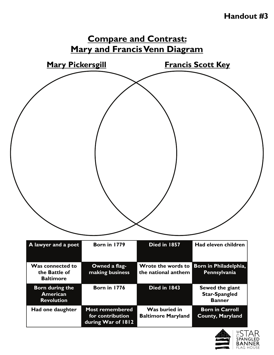### **Handout #3**



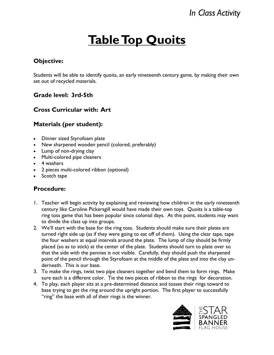# **Table Top Quoits**

### **Objective:**

Students will be able to identify quoits, an early nineteenth century game, by making their own set out of recycled materials.

### **Grade level: 3rd-5th**

### **Cross Curricular with: Art**

### **Materials (per student):**

- Dinner sized Styrofoam plate
- New sharpened wooden pencil (colored, preferably)
- Lump of non-drying clay
- Multi-colored pipe cleaners
- 4 washers
- 2 pieces multi-colored ribbon (optional)
- Scotch tape

#### **Procedure:**

- 1. Teacher will begin activity by explaining and reviewing how children in the early nineteenth century like Caroline Pickersgill would have made their own toys. Quoits is a table-top ring toss game that has been popular since colonial days. At this point, students may want to divide the class up into groups.
- 2. We'll start with the base for the ring toss. Students should make sure their plates are turned right side up (as if they were going to eat off of them). Using the clear tape, tape the four washers at equal intervals around the plate. The lump of clay should be firmly placed (so as to stick) at the center of the plate. Students should turn to plate over so that the side with the pennies is not visible. Carefully, they should push the sharpened point of the pencil through the Styrofoam at the middle of the plate and into the clay underneath. This is our base.
- 3. To make the rings, twist two pipe cleaners together and bend them to form rings. Make sure each is a different color. Tie the two pieces of ribbon to the rings for decoration.
- 4. To play, each player sits at a pre-determined distance and tosses their rings toward to base trying to get the ring around the upright portion. The first player to successfully "ring" the base with all of their rings is the winner.

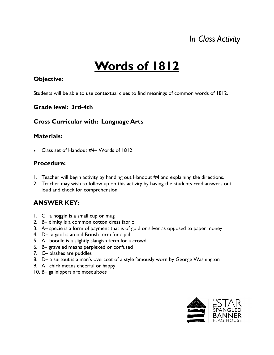### *In Class Activity*

# **Words of 1812**

#### **Objective:**

Students will be able to use contextual clues to find meanings of common words of 1812.

### **Grade level: 3rd-4th**

### **Cross Curricular with: Language Arts**

### **Materials:**

• Class set of Handout #4– Words of 1812

### **Procedure:**

- 1. Teacher will begin activity by handing out Handout #4 and explaining the directions.
- 2. Teacher may wish to follow up on this activity by having the students read answers out loud and check for comprehension.

### **ANSWER KEY:**

- 1. C– a noggin is a small cup or mug
- 2. B– dimity is a common cotton dress fabric
- 3. A– specie is a form of payment that is of gold or silver as opposed to paper money
- 4. D– a gaol is an old British term for a jail
- 5. A– boodle is a slightly slangish term for a crowd
- 6. B– graveled means perplexed or confused
- 7. C– plashes are puddles
- 8. D– a surtout is a man's overcoat of a style famously worn by George Washington
- 9. A– chirk means cheerful or happy
- 10. B– gallnippers are mosquitoes

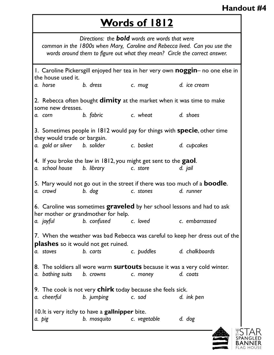### **Handout #4**

### **Words of 1812**

1. Caroline Pickersgill enjoyed her tea in her very own **noggin**– no one else in the house used it. *a. horse b. dress c. mug d. ice cream*  2. Rebecca often bought **dimity** at the market when it was time to make some new dresses. *a. corn b. fabric c. wheat d. shoes*  3. Sometimes people in 1812 would pay for things with **specie**, other time they would trade or bargain. *a. gold or silver b. solider c. basket d. cupcakes*  4. If you broke the law in 1812, you might get sent to the **gaol**. *a. school house b. library c. store d. jail*  5. Mary would not go out in the street if there was too much of a **boodle**. *a. crowd b. dog c. stones d. runner*  6. Caroline was sometimes **graveled** by her school lessons and had to ask her mother or grandmother for help. *a. joyful b. confused c. loved c. embarrassed*  7. When the weather was bad Rebecca was careful to keep her dress out of the **plashes** so it would not get ruined. *a. stoves b. carts c. puddles d. chalkboards*  8. The soldiers all wore warm **surtouts** because it was a very cold winter. *a. bathing suits b. crowns c. money d. coats*  9. The cook is not very **chirk** today because she feels sick. *a. cheerful b. jumping c. sad d. ink pen*  10. It is very itchy to have a **gallnipper** bite. *a. pig b. mosquito c. vegetable d. dog Directions: the bold words are words that were common in the 1800s when Mary, Caroline and Rebecca lived. Can you use the words around them to figure out what they mean? Circle the correct answer.* 

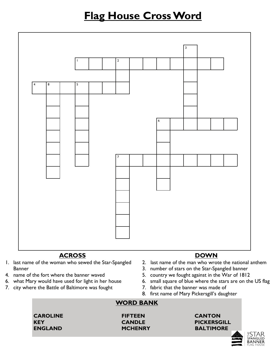### **Flag House Cross Word**



### **ACROSS**

- 1. last name of the woman who sewed the Star-Spangled Banner
- 4. name of the fort where the banner waved
- 6. what Mary would have used for light in her house
- 7. city where the Battle of Baltimore was fought

### **DOWN**

- 2. last name of the man who wrote the national anthem
- 3. number of stars on the Star-Spangled banner
- 5. country we fought against in the War of 1812
- 6. small square of blue where the stars are on the US flag
- 7. fabric that the banner was made of
- 8. first name of Mary Pickersgill's daughter

### **WORD BANK**

**CAROLINE FIFTEEN CANTON** 

### **KEY CANDLE PICKERSGILL ENGLAND MCHENRY BALTIMORE**



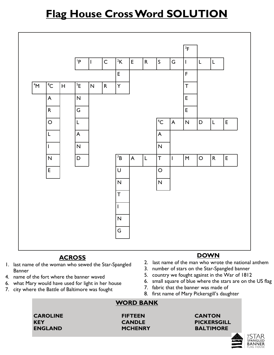### **Flag House Cross Word SOLUTION**



### **ACROSS**

- 1. last name of the woman who sewed the Star-Spangled Banner
- 4. name of the fort where the banner waved
- 6. what Mary would have used for light in her house
- 7. city where the Battle of Baltimore was fought

#### **DOWN**

- 2. last name of the man who wrote the national anthem
- 3. number of stars on the Star-Spangled banner
- 5. country we fought against in the War of 1812
- 6. small square of blue where the stars are on the US flag
- 7. fabric that the banner was made of
- 8. first name of Mary Pickersgill's daughter

### **WORD BANK**

**CAROLINE FIFTEEN CANTON** 

### **KEY CANDLE PICKERSGILL ENGLAND MCHENRY BALTIMORE**

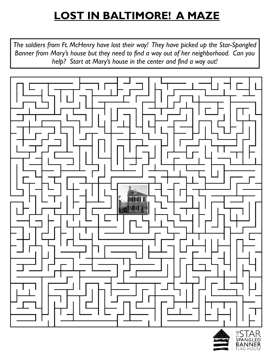# **LOST IN BALTIMORE! A MAZE**

*The soldiers from Ft. McHenry have lost their way! They have picked up the Star-Spangled Banner from Mary's house but they need to find a way out of her neighborhood. Can you help? Start at Mary's house in the center and find a way out!* 



**FLAG HOUSE**